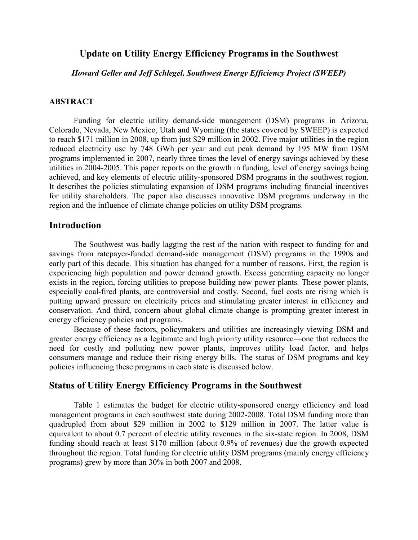# **Update on Utility Energy Efficiency Programs in the Southwest**

*Howard Geller and Jeff Schlegel, Southwest Energy Efficiency Project (SWEEP)* 

## **ABSTRACT**

Funding for electric utility demand-side management (DSM) programs in Arizona, Colorado, Nevada, New Mexico, Utah and Wyoming (the states covered by SWEEP) is expected to reach \$171 million in 2008, up from just \$29 million in 2002. Five major utilities in the region reduced electricity use by 748 GWh per year and cut peak demand by 195 MW from DSM programs implemented in 2007, nearly three times the level of energy savings achieved by these utilities in 2004-2005. This paper reports on the growth in funding, level of energy savings being achieved, and key elements of electric utility-sponsored DSM programs in the southwest region. It describes the policies stimulating expansion of DSM programs including financial incentives for utility shareholders. The paper also discusses innovative DSM programs underway in the region and the influence of climate change policies on utility DSM programs.

### **Introduction**

The Southwest was badly lagging the rest of the nation with respect to funding for and savings from ratepayer-funded demand-side management (DSM) programs in the 1990s and early part of this decade. This situation has changed for a number of reasons. First, the region is experiencing high population and power demand growth. Excess generating capacity no longer exists in the region, forcing utilities to propose building new power plants. These power plants, especially coal-fired plants, are controversial and costly. Second, fuel costs are rising which is putting upward pressure on electricity prices and stimulating greater interest in efficiency and conservation. And third, concern about global climate change is prompting greater interest in energy efficiency policies and programs.

Because of these factors, policymakers and utilities are increasingly viewing DSM and greater energy efficiency as a legitimate and high priority utility resource—one that reduces the need for costly and polluting new power plants, improves utility load factor, and helps consumers manage and reduce their rising energy bills. The status of DSM programs and key policies influencing these programs in each state is discussed below.

### **Status of Utility Energy Efficiency Programs in the Southwest**

Table 1 estimates the budget for electric utility-sponsored energy efficiency and load management programs in each southwest state during 2002-2008. Total DSM funding more than quadrupled from about \$29 million in 2002 to \$129 million in 2007. The latter value is equivalent to about 0.7 percent of electric utility revenues in the six-state region. In 2008, DSM funding should reach at least \$170 million (about 0.9% of revenues) due the growth expected throughout the region. Total funding for electric utility DSM programs (mainly energy efficiency programs) grew by more than 30% in both 2007 and 2008.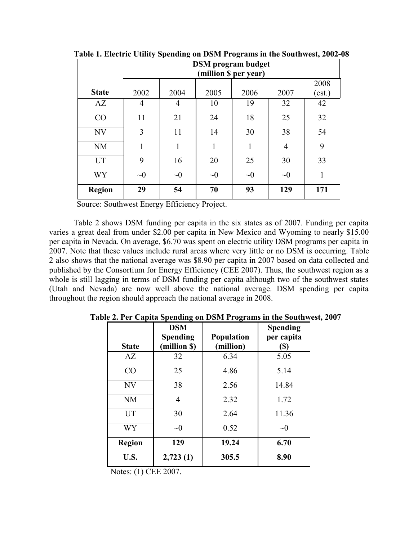|               | <b>DSM</b> program budget<br>(million \$ per year) |          |          |          |                |                |
|---------------|----------------------------------------------------|----------|----------|----------|----------------|----------------|
| <b>State</b>  | 2002                                               | 2004     | 2005     | 2006     | 2007           | 2008<br>(est.) |
| AZ            | 4                                                  | 4        | 10       | 19       | 32             | 42             |
| CO            | 11                                                 | 21       | 24       | 18       | 25             | 32             |
| <b>NV</b>     | 3                                                  | 11       | 14       | 30       | 38             | 54             |
| <b>NM</b>     |                                                    | 1        | 1        |          | $\overline{4}$ | 9              |
| <b>UT</b>     | 9                                                  | 16       | 20       | 25       | 30             | 33             |
| WY            | $\sim\!\!0$                                        | $\sim 0$ | $\sim 0$ | $\sim 0$ | $\sim 0$       | 1              |
| <b>Region</b> | 29                                                 | 54       | 70       | 93       | 129            | 171            |

**Table 1. Electric Utility Spending on DSM Programs in the Southwest, 2002-08**

Source: Southwest Energy Efficiency Project.

Table 2 shows DSM funding per capita in the six states as of 2007. Funding per capita varies a great deal from under \$2.00 per capita in New Mexico and Wyoming to nearly \$15.00 per capita in Nevada. On average, \$6.70 was spent on electric utility DSM programs per capita in 2007. Note that these values include rural areas where very little or no DSM is occurring. Table 2 also shows that the national average was \$8.90 per capita in 2007 based on data collected and published by the Consortium for Energy Efficiency (CEE 2007). Thus, the southwest region as a whole is still lagging in terms of DSM funding per capita although two of the southwest states (Utah and Nevada) are now well above the national average. DSM spending per capita throughout the region should approach the national average in 2008.

| <b>State</b>  | <b>DSM</b><br><b>Spending</b><br>(million \$) | <b>Population</b><br>(million) | <b>Spending</b><br>per capita<br>(\$) |
|---------------|-----------------------------------------------|--------------------------------|---------------------------------------|
| AZ            | 32                                            | 6.34                           | 5.05                                  |
| CO            | 25                                            | 4.86                           | 5.14                                  |
| NV            | 38                                            | 2.56                           | 14.84                                 |
| NM            | 4                                             | 2.32                           | 1.72                                  |
| UT            | 30                                            | 2.64                           | 11.36                                 |
| <b>WY</b>     | $\sim 0$                                      | 0.52                           | $\sim 0$                              |
| <b>Region</b> | 129                                           | 19.24                          | 6.70                                  |
| U.S.          | 2,723(1)                                      | 305.5                          | 8.90                                  |

 **Table 2. Per Capita Spending on DSM Programs in the Southwest, 2007**

Notes: (1) CEE 2007.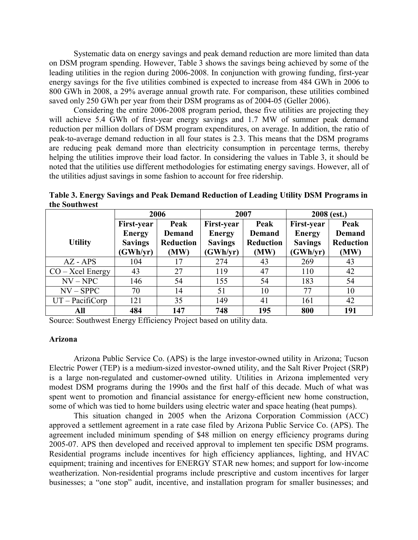Systematic data on energy savings and peak demand reduction are more limited than data on DSM program spending. However, Table 3 shows the savings being achieved by some of the leading utilities in the region during 2006-2008. In conjunction with growing funding, first-year energy savings for the five utilities combined is expected to increase from 484 GWh in 2006 to 800 GWh in 2008, a 29% average annual growth rate. For comparison, these utilities combined saved only 250 GWh per year from their DSM programs as of 2004-05 (Geller 2006).

Considering the entire 2006-2008 program period, these five utilities are projecting they will achieve 5.4 GWh of first-year energy savings and 1.7 MW of summer peak demand reduction per million dollars of DSM program expenditures, on average. In addition, the ratio of peak-to-average demand reduction in all four states is 2.3. This means that the DSM programs are reducing peak demand more than electricity consumption in percentage terms, thereby helping the utilities improve their load factor. In considering the values in Table 3, it should be noted that the utilities use different methodologies for estimating energy savings. However, all of the utilities adjust savings in some fashion to account for free ridership.

|                    | 2006                           |                          | 2007                           |                          | 2008 (est.)                |                          |  |
|--------------------|--------------------------------|--------------------------|--------------------------------|--------------------------|----------------------------|--------------------------|--|
|                    | Peak<br><b>First-year</b>      |                          | First-year                     | Peak                     | <b>First-year</b>          | Peak                     |  |
|                    | <b>Demand</b><br><b>Energy</b> |                          | <b>Demand</b><br><b>Energy</b> |                          | <b>Energy</b>              | <b>Demand</b>            |  |
| <b>Utility</b>     | <b>Savings</b><br>(GWh/yr)     | <b>Reduction</b><br>(MW) | <b>Savings</b><br>(GWh/yr)     | <b>Reduction</b><br>(MW) | <b>Savings</b><br>(GWh/yr) | <b>Reduction</b><br>(MW) |  |
| $AZ - APS$         | 104                            | 17                       | 274                            | 43                       | 269                        | 43                       |  |
| $CO - Xcel$ Energy | 43                             | 27                       | 119                            | 47                       | 110                        | 42                       |  |
| $NV - NPC$         | 146                            | 54                       | 155                            | 54                       | 183                        | 54                       |  |
| $NV - SPPC$        | 70                             | 14                       | 51                             | 10                       | 77                         | 10                       |  |
| $UT - Pacificorp$  | 121                            | 35                       | 149                            | 41                       | 161                        | 42                       |  |
| All                | 484                            | 147                      | 748                            | 195                      | 800                        | 191                      |  |

**Table 3. Energy Savings and Peak Demand Reduction of Leading Utility DSM Programs in the Southwest**

Source: Southwest Energy Efficiency Project based on utility data.

#### **Arizona**

Arizona Public Service Co. (APS) is the large investor-owned utility in Arizona; Tucson Electric Power (TEP) is a medium-sized investor-owned utility, and the Salt River Project (SRP) is a large non-regulated and customer-owned utility. Utilities in Arizona implemented very modest DSM programs during the 1990s and the first half of this decade. Much of what was spent went to promotion and financial assistance for energy-efficient new home construction, some of which was tied to home builders using electric water and space heating (heat pumps).

This situation changed in 2005 when the Arizona Corporation Commission (ACC) approved a settlement agreement in a rate case filed by Arizona Public Service Co. (APS). The agreement included minimum spending of \$48 million on energy efficiency programs during 2005-07. APS then developed and received approval to implement ten specific DSM programs. Residential programs include incentives for high efficiency appliances, lighting, and HVAC equipment; training and incentives for ENERGY STAR new homes; and support for low-income weatherization. Non-residential programs include prescriptive and custom incentives for larger businesses; a "one stop" audit, incentive, and installation program for smaller businesses; and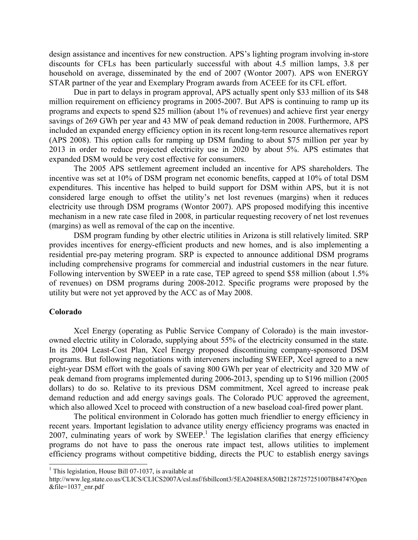design assistance and incentives for new construction. APS's lighting program involving in-store discounts for CFLs has been particularly successful with about 4.5 million lamps, 3.8 per household on average, disseminated by the end of 2007 (Wontor 2007). APS won ENERGY STAR partner of the year and Exemplary Program awards from ACEEE for its CFL effort.

Due in part to delays in program approval, APS actually spent only \$33 million of its \$48 million requirement on efficiency programs in 2005-2007. But APS is continuing to ramp up its programs and expects to spend \$25 million (about 1% of revenues) and achieve first year energy savings of 269 GWh per year and 43 MW of peak demand reduction in 2008. Furthermore, APS included an expanded energy efficiency option in its recent long-term resource alternatives report (APS 2008). This option calls for ramping up DSM funding to about \$75 million per year by 2013 in order to reduce projected electricity use in 2020 by about 5%. APS estimates that expanded DSM would be very cost effective for consumers.

The 2005 APS settlement agreement included an incentive for APS shareholders. The incentive was set at 10% of DSM program net economic benefits, capped at 10% of total DSM expenditures. This incentive has helped to build support for DSM within APS, but it is not considered large enough to offset the utility's net lost revenues (margins) when it reduces electricity use through DSM programs (Wontor 2007). APS proposed modifying this incentive mechanism in a new rate case filed in 2008, in particular requesting recovery of net lost revenues (margins) as well as removal of the cap on the incentive.

DSM program funding by other electric utilities in Arizona is still relatively limited. SRP provides incentives for energy-efficient products and new homes, and is also implementing a residential pre-pay metering program. SRP is expected to announce additional DSM programs including comprehensive programs for commercial and industrial customers in the near future. Following intervention by SWEEP in a rate case, TEP agreed to spend \$58 million (about 1.5% of revenues) on DSM programs during 2008-2012. Specific programs were proposed by the utility but were not yet approved by the ACC as of May 2008.

#### **Colorado**

Xcel Energy (operating as Public Service Company of Colorado) is the main investor owned electric utility in Colorado, supplying about 55% of the electricity consumed in the state. In its 2004 Least-Cost Plan, Xcel Energy proposed discontinuing company-sponsored DSM programs. But following negotiations with interveners including SWEEP, Xcel agreed to a new eight-year DSM effort with the goals of saving 800 GWh per year of electricity and 320 MW of peak demand from programs implemented during 2006-2013, spending up to \$196 million (2005 dollars) to do so. Relative to its previous DSM commitment, Xcel agreed to increase peak demand reduction and add energy savings goals. The Colorado PUC approved the agreement, which also allowed Xcel to proceed with construction of a new baseload coal-fired power plant.<br>The political environment in Colorado has gotten much friendlier to energy efficiency in

recent years. Important legislation to advance utility energy efficiency programs was enacted in  $2007$ , culminating years of work by SWEEP.<sup>1</sup> The legislation clarifies that energy efficiency programs do not have to pass the onerous rate impact test, allows utilities to implement efficiency programs without competitive bidding, directs the PUC to establish energy savings

<sup>&</sup>lt;sup>1</sup> This legislation, House Bill 07-1037, is available at

http://www.leg.state.co.us/CLICS/CLICS2007A/csl.nsf/fsbillcont3/5EA2048E8A50B21287257251007B8474?Open &file=1037\_enr.pdf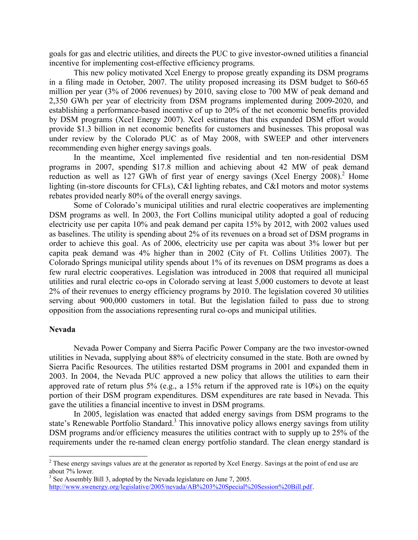goals for gas and electric utilities, and directs the PUC to give investor-owned utilities a financial incentive for implementing cost-effective efficiency programs.

This new policy motivated Xcel Energy to propose greatly expanding its DSM programs in a filing made in October, 2007. The utility proposed increasing its DSM budget to \$60-65 million per year (3% of 2006 revenues) by 2010, saving close to 700 MW of peak demand and 2,350 GWh per year of electricity from DSM programs implemented during 2009-2020, and establishing a performance-based incentive of up to 20% of the net economic benefits provided by DSM programs (Xcel Energy 2007). Xcel estimates that this expanded DSM effort would provide \$1.3 billion in net economic benefits for customers and businesses. This proposal was under review by the Colorado PUC as of May 2008, with SWEEP and other interveners recommending even higher energy savings goals. In the meantime, Xcel implemented five residential and ten non-residential DSM

programs in 2007, spending \$17.8 million and achieving about 42 MW of peak demand reduction as well as 127 GWh of first year of energy savings (Xcel Energy 2008).<sup>2</sup> Home lighting (in-store discounts for CFLs), C&I lighting rebates, and C&I motors and motor systems rebates provided nearly 80% of the overall energy savings.

Some of Colorado's municipal utilities and rural electric cooperatives are implementing DSM programs as well. In 2003, the Fort Collins municipal utility adopted a goal of reducing electricity use per capita 10% and peak demand per capita 15% by 2012, with 2002 values used as baselines. The utility is spending about 2% of its revenues on a broad set of DSM programs in order to achieve this goal. As of 2006, electricity use per capita was about 3% lower but per capita peak demand was 4% higher than in 2002 (City of Ft. Collins Utilities 2007). The Colorado Springs municipal utility spends about 1% of its revenues on DSM programs as does a few rural electric cooperatives. Legislation was introduced in 2008 that required all municipal utilities and rural electric co-ops in Colorado serving at least 5,000 customers to devote at least 2% of their revenues to energy efficiency programs by 2010. The legislation covered 30 utilities serving about 900,000 customers in total. But the legislation failed to pass due to strong opposition from the associations representing rural co-ops and municipal utilities.

#### **Nevada**

Nevada Power Company and Sierra Pacific Power Company are the two investor-owned utilities in Nevada, supplying about 88% of electricity consumed in the state. Both are owned by Sierra Pacific Resources. The utilities restarted DSM programs in 2001 and expanded them in 2003. In 2004, the Nevada PUC approved a new policy that allows the utilities to earn their approved rate of return plus 5% (e.g., a 15% return if the approved rate is 10%) on the equity portion of their DSM program expenditures. DSM expenditures are rate based in Nevada. This gave the utilities a financial incentive to invest in DSM programs.

In 2005, legislation was enacted that added energy savings from DSM programs to the state's Renewable Portfolio Standard.<sup>3</sup> This innovative policy allows energy savings from utility DSM programs and/or efficiency measures the utilities contract with to supply up to 25% of the requirements under the re-named clean energy portfolio standard. The clean energy standard is

<sup>&</sup>lt;sup>2</sup> These energy savings values are at the generator as reported by Xcel Energy. Savings at the point of end use are about 7% lower.

 $3$  See Assembly Bill 3, adopted by the Nevada legislature on June 7, 2005. http://www.swenergy.org/legislative/2005/nevada/AB%203%20Special%20Session%20Bill.pdf.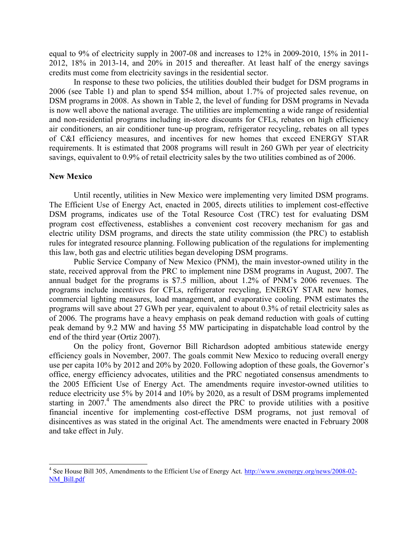equal to 9% of electricity supply in 2007-08 and increases to 12% in 2009-2010, 15% in 2011- 2012, 18% in 2013-14, and 20% in 2015 and thereafter. At least half of the energy savings credits must come from electricity savings in the residential sector.

In response to these two policies, the utilities doubled their budget for DSM programs in 2006 (see Table 1) and plan to spend \$54 million, about 1.7% of projected sales revenue, on DSM programs in 2008. As shown in Table 2, the level of funding for DSM programs in Nevada is now well above the national average. The utilities are implementing a wide range of residential and non-residential programs including in-store discounts for CFLs, rebates on high efficiency air conditioners, an air conditioner tune-up program, refrigerator recycling, rebates on all types of C&I efficiency measures, and incentives for new homes that exceed ENERGY STAR requirements. It is estimated that 2008 programs will result in 260 GWh per year of electricity savings, equivalent to 0.9% of retail electricity sales by the two utilities combined as of 2006.

#### **New Mexico**

Until recently, utilities in New Mexico were implementing very limited DSM programs. The Efficient Use of Energy Act, enacted in 2005, directs utilities to implement cost-effective DSM programs, indicates use of the Total Resource Cost (TRC) test for evaluating DSM program cost effectiveness, establishes a convenient cost recovery mechanism for gas and electric utility DSM programs, and directs the state utility commission (the PRC) to establish rules for integrated resource planning. Following publication of the regulations for implementing this law, both gas and electric utilities began developing DSM programs.

Public Service Company of New Mexico (PNM), the main investor-owned utility in the state, received approval from the PRC to implement nine DSM programs in August, 2007. The annual budget for the programs is \$7.5 million, about 1.2% of PNM's 2006 revenues. The programs include incentives for CFLs, refrigerator recycling, ENERGY STAR new homes, commercial lighting measures, load management, and evaporative cooling. PNM estimates the programs will save about 27 GWh per year, equivalent to about 0.3% of retail electricity sales as of 2006. The programs have a heavy emphasis on peak demand reduction with goals of cutting peak demand by 9.2 MW and having 55 MW participating in dispatchable load control by the end of the third year (Ortiz 2007).

On the policy front, Governor Bill Richardson adopted ambitious statewide energy efficiency goals in November, 2007. The goals commit New Mexico to reducing overall energy use per capita 10% by 2012 and 20% by 2020. Following adoption of these goals, the Governor's office, energy efficiency advocates, utilities and the PRC negotiated consensus amendments to the 2005 Efficient Use of Energy Act. The amendments require investor-owned utilities to reduce electricity use 5% by 2014 and 10% by 2020, as a result of DSM programs implemented starting in 2007.<sup>4</sup> The amendments also direct the PRC to provide utilities with a positive financial incentive for implementing cost-effective DSM programs, not just removal of disincentives as was stated in the original Act. The amendments were enacted in February 2008 and take effect in July.

<sup>4</sup> See House Bill 305, Amendments to the Efficient Use of Energy Act. http://www.swenergy.org/news/2008-02- NM\_Bill.pdf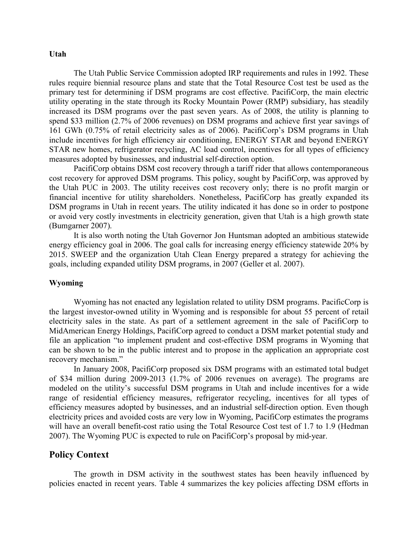#### **Utah**

The Utah Public Service Commission adopted IRP requirements and rules in 1992. These rules require biennial resource plans and state that the Total Resource Cost test be used as the primary test for determining if DSM programs are cost effective. PacifiCorp, the main electric utility operating in the state through its Rocky Mountain Power (RMP) subsidiary, has steadily increased its DSM programs over the past seven years. As of 2008, the utility is planning to spend \$33 million (2.7% of 2006 revenues) on DSM programs and achieve first year savings of 161 GWh (0.75% of retail electricity sales as of 2006). PacifiCorp's DSM programs in Utah include incentives for high efficiency air conditioning, ENERGY STAR and beyond ENERGY STAR new homes, refrigerator recycling, AC load control, incentives for all types of efficiency measures adopted by businesses, and industrial self-direction option. PacifiCorp obtains DSM cost recovery through a tariff rider that allows contemporaneous

cost recovery for approved DSM programs. This policy, sought by PacifiCorp, was approved by the Utah PUC in 2003. The utility receives cost recovery only; there is no profit margin or financial incentive for utility shareholders. Nonetheless, PacifiCorp has greatly expanded its DSM programs in Utah in recent years. The utility indicated it has done so in order to postpone or avoid very costly investments in electricity generation, given that Utah is a high growth state (Bumgarner 2007). It is also worth noting the Utah Governor Jon Huntsman adopted an ambitious statewide

energy efficiency goal in 2006. The goal calls for increasing energy efficiency statewide 20% by 2015. SWEEP and the organization Utah Clean Energy prepared a strategy for achieving the goals, including expanded utility DSM programs, in 2007 (Geller et al. 2007).

#### **Wyoming**

 Wyoming has not enacted any legislation related to utility DSM programs. PacificCorp is the largest investor-owned utility in Wyoming and is responsible for about 55 percent of retail electricity sales in the state. As part of a settlement agreement in the sale of PacifiCorp to MidAmerican Energy Holdings, PacifiCorp agreed to conduct a DSM market potential study and file an application "to implement prudent and cost-effective DSM programs in Wyoming that can be shown to be in the public interest and to propose in the application an appropriate cost recovery mechanism."

In January 2008, PacifiCorp proposed six DSM programs with an estimated total budget of \$34 million during 2009-2013 (1.7% of 2006 revenues on average). The programs are modeled on the utility's successful DSM programs in Utah and include incentives for a wide range of residential efficiency measures, refrigerator recycling, incentives for all types of efficiency measures adopted by businesses, and an industrial self-direction option. Even though electricity prices and avoided costs are very low in Wyoming, PacifiCorp estimates the programs will have an overall benefit-cost ratio using the Total Resource Cost test of 1.7 to 1.9 (Hedman 2007). The Wyoming PUC is expected to rule on PacifiCorp's proposal by mid-year.

### **Policy Context**

The growth in DSM activity in the southwest states has been heavily influenced by policies enacted in recent years. Table 4 summarizes the key policies affecting DSM efforts in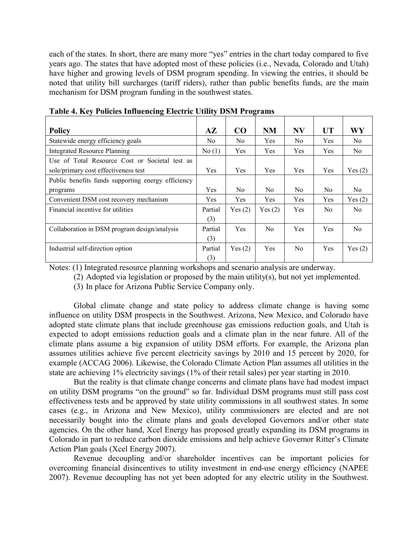each of the states. In short, there are many more "yes" entries in the chart today compared to five years ago. The states that have adopted most of these policies (i.e., Nevada, Colorado and Utah) have higher and growing levels of DSM program spending. In viewing the entries, it should be noted that utility bill surcharges (tariff riders), rather than public benefits funds, are the main mechanism for DSM program funding in the southwest states.

| <b>Policy</b>                                      | $A\mathbf{Z}$ | CO         | <b>NM</b>      | <b>NV</b>  | <b>UT</b>      | WY             |
|----------------------------------------------------|---------------|------------|----------------|------------|----------------|----------------|
| Statewide energy efficiency goals                  | No.           | No.        | <b>Yes</b>     | No.        | Yes            | N <sub>0</sub> |
| <b>Integrated Resource Planning</b>                | No(1)         | Yes        | <b>Yes</b>     | Yes        | Yes            | N <sub>0</sub> |
| Use of Total Resource Cost or Societal test as     |               |            |                |            |                |                |
| sole/primary cost effectiveness test               | Yes           | <b>Yes</b> | Yes            | Yes        | Yes            | Yes $(2)$      |
| Public benefits funds supporting energy efficiency |               |            |                |            |                |                |
| programs                                           | Yes           | No.        | N <sub>0</sub> | No.        | N <sub>0</sub> | N <sub>0</sub> |
| Convenient DSM cost recovery mechanism             | Yes           | <b>Yes</b> | <b>Yes</b>     | Yes        | Yes            | Yes(2)         |
| Financial incentive for utilities                  | Partial       | Yes(2)     | Yes $(2)$      | Yes        | N <sub>0</sub> | N <sub>0</sub> |
|                                                    | (3)           |            |                |            |                |                |
| Collaboration in DSM program design/analysis       | Partial       | <b>Yes</b> | N <sub>0</sub> | <b>Yes</b> | Yes            | N <sub>0</sub> |
|                                                    | (3)           |            |                |            |                |                |
| Industrial self-direction option                   | Partial       | Yes(2)     | <b>Yes</b>     | No.        | Yes            | Yes(2)         |
|                                                    | (3)           |            |                |            |                |                |

**Table 4. Key Policies Influencing Electric Utility DSM Programs** 

Notes: (1) Integrated resource planning workshops and scenario analysis are underway. (2) Adopted via legislation or proposed by the main utility(s), but not yet implemented.

(3) In place for Arizona Public Service Company only.

Global climate change and state policy to address climate change is having some influence on utility DSM prospects in the Southwest. Arizona, New Mexico, and Colorado have adopted state climate plans that include greenhouse gas emissions reduction goals, and Utah is expected to adopt emissions reduction goals and a climate plan in the near future. All of the climate plans assume a big expansion of utility DSM efforts. For example, the Arizona plan assumes utilities achieve five percent electricity savings by 2010 and 15 percent by 2020, for example (ACCAG 2006). Likewise, the Colorado Climate Action Plan assumes all utilities in the state are achieving 1% electricity savings (1% of their retail sales) per year starting in 2010.

But the reality is that climate change concerns and climate plans have had modest impact on utility DSM programs "on the ground" so far. Individual DSM programs must still pass cost effectiveness tests and be approved by state utility commissions in all southwest states. In some cases (e.g., in Arizona and New Mexico), utility commissioners are elected and are not necessarily bought into the climate plans and goals developed Governors and/or other state agencies. On the other hand, Xcel Energy has proposed greatly expanding its DSM programs in Colorado in part to reduce carbon dioxide emissions and help achieve Governor Ritter's Climate Action Plan goals (Xcel Energy 2007).

Revenue decoupling and/or shareholder incentives can be important policies for overcoming financial disincentives to utility investment in end-use energy efficiency (NAPEE 2007). Revenue decoupling has not yet been adopted for any electric utility in the Southwest.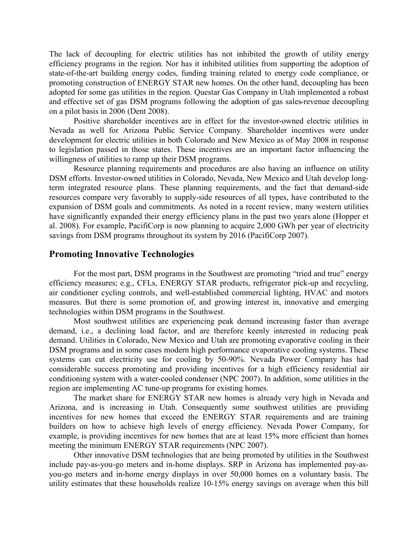The lack of decoupling for electric utilities has not inhibited the growth of utility energy efficiency programs in the region. Nor has it inhibited utilities from supporting the adoption of state-of-the-art building energy codes, funding training related to energy code compliance, or promoting construction of ENERGY STAR new homes. On the other hand, decoupling has been adopted for some gas utilities in the region. Questar Gas Company in Utah implemented a robust and effective set of gas DSM programs following the adoption of gas sales-revenue decoupling on a pilot basis in 2006 (Dent 2008). Positive shareholder incentives are in effect for the investor-owned electric utilities in

Nevada as well for Arizona Public Service Company. Shareholder incentives were under development for electric utilities in both Colorado and New Mexico as of May 2008 in response to legislation passed in those states. These incentives are an important factor influencing the willingness of utilities to ramp up their DSM programs.<br>Resource planning requirements and procedures are also having an influence on utility

DSM efforts. Investor-owned utilities in Colorado, Nevada, New Mexico and Utah develop longterm integrated resource plans. These planning requirements, and the fact that demand-side resources compare very favorably to supply-side resources of all types, have contributed to the expansion of DSM goals and commitments. As noted in a recent review, many western utilities have significantly expanded their energy efficiency plans in the past two years alone (Hopper et al. 2008). For example, PacifiCorp is now planning to acquire 2,000 GWh per year of electricity savings from DSM programs throughout its system by 2016 (PacifiCorp 2007).

## **Promoting Innovative Technologies**

For the most part, DSM programs in the Southwest are promoting "tried and true" energy efficiency measures; e.g., CFLs, ENERGY STAR products, refrigerator pick-up and recycling, air conditioner cycling controls, and well-established commercial lighting, HVAC and motors measures. But there is some promotion of, and growing interest in, innovative and emerging technologies within DSM programs in the Southwest.

Most southwest utilities are experiencing peak demand increasing faster than average demand, i.e., a declining load factor, and are therefore keenly interested in reducing peak demand. Utilities in Colorado, New Mexico and Utah are promoting evaporative cooling in their DSM programs and in some cases modern high performance evaporative cooling systems. These systems can cut electricity use for cooling by 50-90%. Nevada Power Company has had considerable success promoting and providing incentives for a high efficiency residential air conditioning system with a water-cooled condenser (NPC 2007). In addition, some utilities in the region are implementing AC tune-up programs for existing homes.

The market share for ENERGY STAR new homes is already very high in Nevada and Arizona, and is increasing in Utah. Consequently some southwest utilities are providing incentives for new homes that exceed the ENERGY STAR requirements and are training builders on how to achieve high levels of energy efficiency. Nevada Power Company, for example, is providing incentives for new homes that are at least 15% more efficient than homes meeting the minimum ENERGY STAR requirements (NPC 2007).

Other innovative DSM technologies that are being promoted by utilities in the Southwest include pay-as-you-go meters and in-home displays. SRP in Arizona has implemented pay-as you-go meters and in-home energy displays in over 50,000 homes on a voluntary basis. The utility estimates that these households realize 10-15% energy savings on average when this bill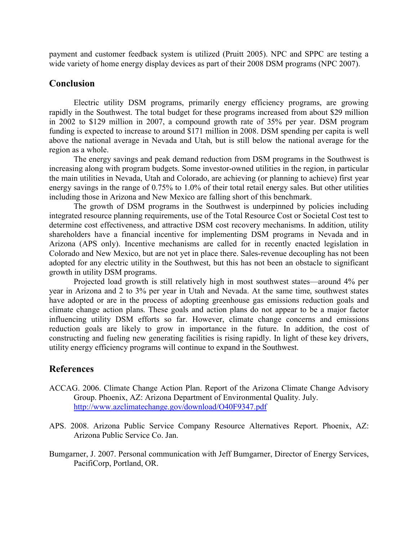payment and customer feedback system is utilized (Pruitt 2005). NPC and SPPC are testing a wide variety of home energy display devices as part of their 2008 DSM programs (NPC 2007).

## **Conclusion**

Electric utility DSM programs, primarily energy efficiency programs, are growing rapidly in the Southwest. The total budget for these programs increased from about \$29 million in 2002 to \$129 million in 2007, a compound growth rate of 35% per year. DSM program funding is expected to increase to around \$171 million in 2008. DSM spending per capita is well above the national average in Nevada and Utah, but is still below the national average for the region as a whole.

The energy savings and peak demand reduction from DSM programs in the Southwest is increasing along with program budgets. Some investor-owned utilities in the region, in particular the main utilities in Nevada, Utah and Colorado, are achieving (or planning to achieve) first year energy savings in the range of 0.75% to 1.0% of their total retail energy sales. But other utilities including those in Arizona and New Mexico are falling short of this benchmark.

The growth of DSM programs in the Southwest is underpinned by policies including integrated resource planning requirements, use of the Total Resource Cost or Societal Cost test to determine cost effectiveness, and attractive DSM cost recovery mechanisms. In addition, utility shareholders have a financial incentive for implementing DSM programs in Nevada and in Arizona (APS only). Incentive mechanisms are called for in recently enacted legislation in Colorado and New Mexico, but are not yet in place there. Sales-revenue decoupling has not been adopted for any electric utility in the Southwest, but this has not been an obstacle to significant growth in utility DSM programs.

Projected load growth is still relatively high in most southwest states—around 4% per year in Arizona and 2 to 3% per year in Utah and Nevada. At the same time, southwest states have adopted or are in the process of adopting greenhouse gas emissions reduction goals and climate change action plans. These goals and action plans do not appear to be a major factor influencing utility DSM efforts so far. However, climate change concerns and emissions reduction goals are likely to grow in importance in the future. In addition, the cost of constructing and fueling new generating facilities is rising rapidly. In light of these key drivers, utility energy efficiency programs will continue to expand in the Southwest.

# **References**

- ACCAG. 2006. Climate Change Action Plan. Report of the Arizona Climate Change Advisory Group. Phoenix, AZ: Arizona Department of Environmental Quality. July. http://www.azclimatechange.gov/download/O40F9347.pdf
- APS. 2008. Arizona Public Service Company Resource Alternatives Report. Phoenix, AZ: Arizona Public Service Co. Jan.
- Bumgarner, J. 2007. Personal communication with Jeff Bumgarner, Director of Energy Services, PacifiCorp, Portland, OR.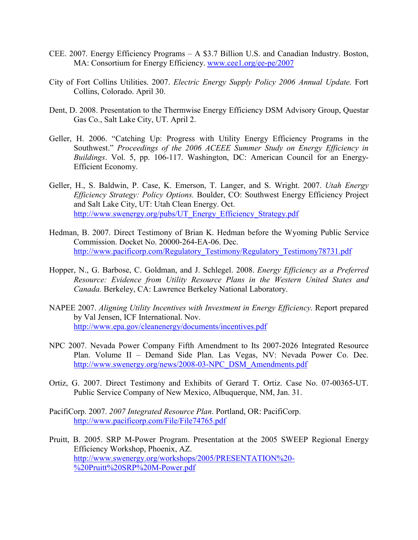- CEE. 2007. Energy Efficiency Programs A \$3.7 Billion U.S. and Canadian Industry. Boston, MA: Consortium for Energy Efficiency. www.cee1.org/ee-pe/2007
- City of Fort Collins Utilities. 2007. *Electric Energy Supply Policy 2006 Annual Update.* Fort Collins, Colorado. April 30.
- Dent, D. 2008. Presentation to the Thermwise Energy Efficiency DSM Advisory Group, Questar Gas Co., Salt Lake City, UT. April 2.
- Geller, H. 2006. "Catching Up: Progress with Utility Energy Efficiency Programs in the Southwest." *Proceedings of the 2006 ACEEE Summer Study on Energy Efficiency in Buildings*. Vol. 5, pp. 106-117. Washington, DC: American Council for an Energy- Efficient Economy.
- Geller, H., S. Baldwin, P. Case, K. Emerson, T. Langer, and S. Wright. 2007. *Utah Energy Efficiency Strategy: Policy Options.* Boulder, CO: Southwest Energy Efficiency Project and Salt Lake City, UT: Utah Clean Energy. Oct. http://www.swenergy.org/pubs/UT\_Energy\_Efficiency\_Strategy.pdf
- Hedman, B. 2007. Direct Testimony of Brian K. Hedman before the Wyoming Public Service Commission. Docket No. 20000-264-EA-06. Dec. http://www.pacificorp.com/Regulatory\_Testimony/Regulatory\_Testimony78731.pdf
- Hopper, N., G. Barbose, C. Goldman, and J. Schlegel. 2008. *Energy Efficiency as a Preferred Resource: Evidence from Utility Resource Plans in the Western United States and Canada.* Berkeley, CA: Lawrence Berkeley National Laboratory.
- NAPEE 2007. *Aligning Utility Incentives with Investment in Energy Efficiency*. Report prepared by Val Jensen, ICF International. Nov. http://www.epa.gov/cleanenergy/documents/incentives.pdf
- NPC 2007. Nevada Power Company Fifth Amendment to Its 2007-2026 Integrated Resource Plan. Volume II – Demand Side Plan. Las Vegas, NV: Nevada Power Co. Dec. http://www.swenergy.org/news/2008-03-NPC\_DSM\_Amendments.pdf
- Ortiz, G. 2007. Direct Testimony and Exhibits of Gerard T. Ortiz. Case No. 07-00365-UT. Public Service Company of New Mexico, Albuquerque, NM, Jan. 31.
- PacifiCorp. 2007. *2007 Integrated Resource Plan*. Portland, OR: PacifiCorp. http://www.pacificorp.com/File/File74765.pdf
- Pruitt, B. 2005. SRP M-Power Program. Presentation at the 2005 SWEEP Regional Energy Efficiency Workshop, Phoenix, AZ. http://www.swenergy.org/workshops/2005/PRESENTATION%20- %20Pruitt%20SRP%20M-Power.pdf